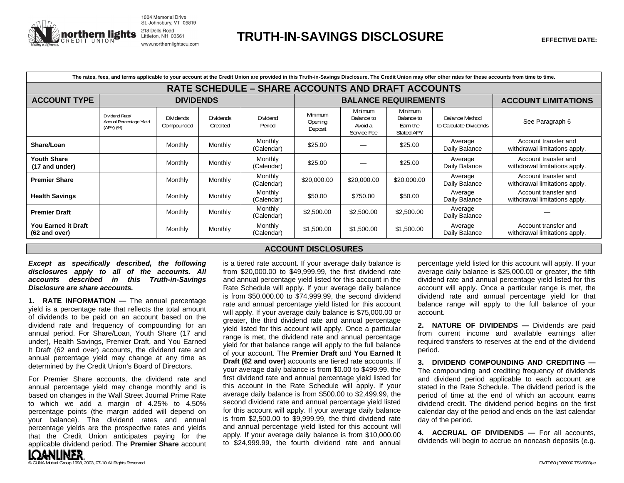

1004 Memorial Drive St. Johnsbury, VT 05819 www.northernlightscu.com

| The rates, fees, and terms applicable to your account at the Credit Union are provided in this Truth-in-Savings Disclosure. The Credit Union may offer other rates for these accounts from time to time. |                                                        |                                |                              |                       |                               |                                                        |                                                 |                                                 |                                                       |  |
|----------------------------------------------------------------------------------------------------------------------------------------------------------------------------------------------------------|--------------------------------------------------------|--------------------------------|------------------------------|-----------------------|-------------------------------|--------------------------------------------------------|-------------------------------------------------|-------------------------------------------------|-------------------------------------------------------|--|
| <b>RATE SCHEDULE - SHARE ACCOUNTS AND DRAFT ACCOUNTS</b>                                                                                                                                                 |                                                        |                                |                              |                       |                               |                                                        |                                                 |                                                 |                                                       |  |
| <b>ACCOUNT TYPE</b>                                                                                                                                                                                      | <b>DIVIDENDS</b>                                       |                                |                              |                       | <b>BALANCE REQUIREMENTS</b>   |                                                        |                                                 |                                                 | <b>ACCOUNT LIMITATIONS</b>                            |  |
|                                                                                                                                                                                                          | Dividend Rate/<br>Annual Percentage Yield<br>(APY) (%) | <b>Dividends</b><br>Compounded | <b>Dividends</b><br>Credited | Dividend<br>Period    | Minimum<br>Opening<br>Deposit | <b>Minimum</b><br>Balance to<br>Avoid a<br>Service Fee | Minimum<br>Balance to<br>Earn the<br>Stated APY | <b>Balance Method</b><br>to Calculate Dividends | See Paragraph 6                                       |  |
| Share/Loan                                                                                                                                                                                               |                                                        | Monthly                        | Monthly                      | Monthly<br>(Calendar) | \$25.00                       |                                                        | \$25.00                                         | Average<br>Daily Balance                        | Account transfer and<br>withdrawal limitations apply. |  |
| <b>Youth Share</b><br>(17 and under)                                                                                                                                                                     |                                                        | Monthly                        | Monthly                      | Monthly<br>(Calendar) | \$25.00                       |                                                        | \$25.00                                         | Average<br>Daily Balance                        | Account transfer and<br>withdrawal limitations apply. |  |
| <b>Premier Share</b>                                                                                                                                                                                     |                                                        | Monthly                        | Monthly                      | Monthly<br>(Calendar) | \$20,000.00                   | \$20,000.00                                            | \$20,000.00                                     | Average<br>Daily Balance                        | Account transfer and<br>withdrawal limitations apply. |  |
| <b>Health Savings</b>                                                                                                                                                                                    |                                                        | Monthly                        | Monthly                      | Monthly<br>(Calendar) | \$50.00                       | \$750.00                                               | \$50.00                                         | Average<br>Daily Balance                        | Account transfer and<br>withdrawal limitations apply. |  |
| <b>Premier Draft</b>                                                                                                                                                                                     |                                                        | Monthly                        | Monthly                      | Monthly<br>(Calendar) | \$2,500.00                    | \$2,500.00                                             | \$2,500.00                                      | Average<br>Daily Balance                        |                                                       |  |
| You Earned it Draft<br>(62 and over)                                                                                                                                                                     |                                                        | Monthly                        | Monthly                      | Monthly<br>(Calendar) | \$1,500.00                    | \$1,500.00                                             | \$1,500.00                                      | Average<br>Daily Balance                        | Account transfer and<br>withdrawal limitations apply. |  |

## *Except as specifically described, the following disclosures apply to all of the accounts. All accounts described in this Truth-in-Savings Disclosure are share accounts.*

**1. RATE INFORMATION — The annual percentage** yield is a percentage rate that reflects the total amount of dividends to be paid on an account based on the dividend rate and frequency of compounding for an annual period. For Share/Loan, Youth Share (17 and under), Health Savings, Premier Draft, and You Earned It Draft (62 and over) accounts, the dividend rate and annual percentage yield may change at any time as determined by the Credit Union's Board of Directors.

For Premier Share accounts, the dividend rate and annual percentage yield may change monthly and is based on changes in the Wall Street Journal Prime Rate to which we add a margin of 4.25% to 4.50% percentage points (the margin added will depend on your balance). The dividend rates and annual percentage yields are the prospective rates and yields that the Credit Union anticipates paying for the applicable dividend period. The **Premier Share** account **ACCOUNT DISCLOSURES** 

is a tiered rate account. If your average daily balance is from \$20,000.00 to \$49,999.99, the first dividend rate and annual percentage yield listed for this account in the Rate Schedule will apply. If your average daily balance is from \$50,000.00 to \$74,999.99, the second dividend rate and annual percentage yield listed for this account will apply. If your average daily balance is \$75,000.00 or greater, the third dividend rate and annual percentage yield listed for this account will apply. Once a particular range is met, the dividend rate and annual percentage yield for that balance range will apply to the full balance of your account. The **Premier Draft** and **You Earned It Draft (62 and over)** accounts are tiered rate accounts. If your average daily balance is from \$0.00 to \$499.99, the first dividend rate and annual percentage yield listed for this account in the Rate Schedule will apply. If your average daily balance is from \$500.00 to \$2,499.99, the second dividend rate and annual percentage yield listed for this account will apply. If your average daily balance is from \$2,500.00 to \$9,999.99, the third dividend rate and annual percentage yield listed for this account will apply. If your average daily balance is from \$10,000.00 to \$24,999.99, the fourth dividend rate and annual

percentage yield listed for this account will apply. If your average daily balance is \$25,000.00 or greater, the fifth dividend rate and annual percentage yield listed for this account will apply. Once a particular range is met, the dividend rate and annual percentage yield for that balance range will apply to the full balance of your account.

**2. NATURE OF DIVIDENDS —** Dividends are paid from current income and available earnings after required transfers to reserves at the end of the dividend period.

**3. DIVIDEND COMPOUNDING AND CREDITING —** The compounding and crediting frequency of dividends and dividend period applicable to each account are stated in the Rate Schedule. The dividend period is the period of time at the end of which an account earns dividend credit. The dividend period begins on the first calendar day of the period and ends on the last calendar day of the period.

**4. ACCRUAL OF DIVIDENDS —** For all accounts, dividends will begin to accrue on noncash deposits (e.g.